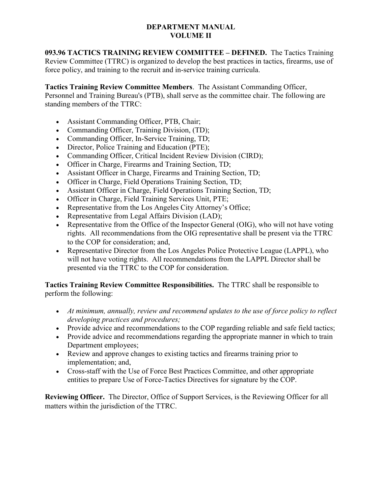## **DEPARTMENT MANUAL VOLUME II**

**093.96 TACTICS TRAINING REVIEW COMMITTEE – DEFINED.** The Tactics Training Review Committee (TTRC) is organized to develop the best practices in tactics, firearms, use of force policy, and training to the recruit and in-service training curricula.

**Tactics Training Review Committee Members**. The Assistant Commanding Officer, Personnel and Training Bureau's (PTB), shall serve as the committee chair. The following are standing members of the TTRC:

- Assistant Commanding Officer, PTB, Chair;
- Commanding Officer, Training Division, (TD);
- Commanding Officer, In-Service Training, TD;
- Director, Police Training and Education (PTE);
- Commanding Officer, Critical Incident Review Division (CIRD);
- Officer in Charge, Firearms and Training Section, TD;
- Assistant Officer in Charge, Firearms and Training Section, TD;
- Officer in Charge, Field Operations Training Section, TD;
- Assistant Officer in Charge, Field Operations Training Section, TD;
- Officer in Charge, Field Training Services Unit, PTE;
- Representative from the Los Angeles City Attorney's Office;
- Representative from Legal Affairs Division (LAD);
- Representative from the Office of the Inspector General (OIG), who will not have voting rights. All recommendations from the OIG representative shall be present via the TTRC to the COP for consideration; and,
- Representative Director from the Los Angeles Police Protective League (LAPPL), who will not have voting rights. All recommendations from the LAPPL Director shall be presented via the TTRC to the COP for consideration.

**Tactics Training Review Committee Responsibilities.** The TTRC shall be responsible to perform the following:

- *At minimum, annually, review and recommend updates to the use of force policy to reflect developing practices and procedures;*
- Provide advice and recommendations to the COP regarding reliable and safe field tactics;
- Provide advice and recommendations regarding the appropriate manner in which to train Department employees;
- Review and approve changes to existing tactics and firearms training prior to implementation; and,
- Cross-staff with the Use of Force Best Practices Committee, and other appropriate entities to prepare Use of Force-Tactics Directives for signature by the COP.

**Reviewing Officer.** The Director, Office of Support Services, is the Reviewing Officer for all matters within the jurisdiction of the TTRC.